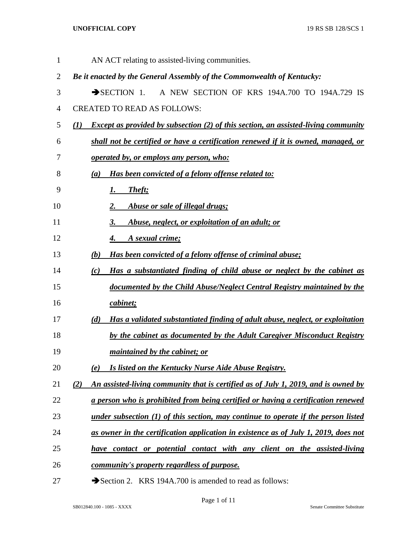| $\mathbf{1}$   | AN ACT relating to assisted-living communities.                                                  |
|----------------|--------------------------------------------------------------------------------------------------|
| $\overline{2}$ | Be it enacted by the General Assembly of the Commonwealth of Kentucky:                           |
| 3              | A NEW SECTION OF KRS 194A.700 TO 194A.729 IS<br>$\rightarrow$ SECTION 1.                         |
| $\overline{4}$ | <b>CREATED TO READ AS FOLLOWS:</b>                                                               |
| 5              | <b>Except as provided by subsection (2) of this section, an assisted-living community</b><br>(I) |
| 6              | shall not be certified or have a certification renewed if it is owned, managed, or               |
| 7              | operated by, or employs any person, who:                                                         |
| 8              | Has been convicted of a felony offense related to:<br>(a)                                        |
| 9              | <u>Theft;</u><br><u>I.</u>                                                                       |
| 10             | Abuse or sale of illegal drugs;<br><u>2.</u>                                                     |
| 11             | Abuse, neglect, or exploitation of an adult; or<br><u>3.</u>                                     |
| 12             | A sexual crime;<br><u>4.</u>                                                                     |
| 13             | Has been convicted of a felony offense of criminal abuse;<br><u>(b)</u>                          |
| 14             | Has a substantiated finding of child abuse or neglect by the cabinet as<br>(c)                   |
| 15             | documented by the Child Abuse/Neglect Central Registry maintained by the                         |
| 16             | cabinet;                                                                                         |
| 17             | Has a validated substantiated finding of adult abuse, neglect, or exploitation<br>(d)            |
| 18             | by the cabinet as documented by the Adult Caregiver Misconduct Registry                          |
| 19             | <i>maintained by the cabinet; or</i>                                                             |
| 20             | Is listed on the Kentucky Nurse Aide Abuse Registry.<br>(e)                                      |
| 21             | An assisted-living community that is certified as of July 1, 2019, and is owned by<br>(2)        |
| 22             | a person who is prohibited from being certified or having a certification renewed                |
| 23             | under subsection $(1)$ of this section, may continue to operate if the person listed             |
| 24             | as owner in the certification application in existence as of July 1, 2019, does not              |
| 25             | have contact or potential contact with any client on the assisted-living                         |
| 26             | <u>community's property regardless of purpose.</u>                                               |
|                |                                                                                                  |

27 Section 2. KRS 194A.700 is amended to read as follows: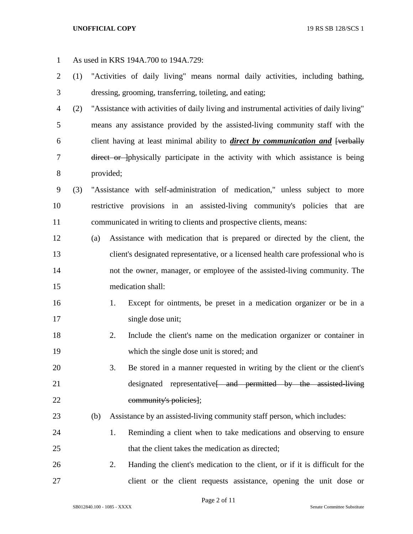As used in KRS 194A.700 to 194A.729: (1) "Activities of daily living" means normal daily activities, including bathing, dressing, grooming, transferring, toileting, and eating; (2) "Assistance with activities of daily living and instrumental activities of daily living" means any assistance provided by the assisted-living community staff with the 6 client having at least minimal ability to *direct by communication and* [verbally 7 direct or physically participate in the activity with which assistance is being provided; (3) "Assistance with self-administration of medication," unless subject to more restrictive provisions in an assisted-living community's policies that are communicated in writing to clients and prospective clients, means: (a) Assistance with medication that is prepared or directed by the client, the client's designated representative, or a licensed health care professional who is not the owner, manager, or employee of the assisted-living community. The medication shall: 1. Except for ointments, be preset in a medication organizer or be in a single dose unit; 2. Include the client's name on the medication organizer or container in which the single dose unit is stored; and 3. Be stored in a manner requested in writing by the client or the client's 21 designated representative<del> and permitted by the assisted-living</del> community's policies]; (b) Assistance by an assisted-living community staff person, which includes: 1. Reminding a client when to take medications and observing to ensure 25 that the client takes the medication as directed; 2. Handing the client's medication to the client, or if it is difficult for the client or the client requests assistance, opening the unit dose or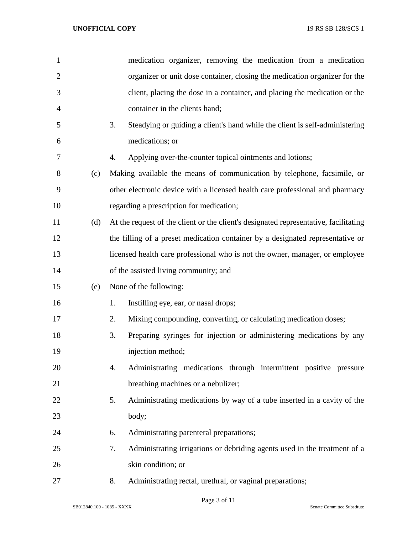| 1              |     | medication organizer, removing the medication from a medication                      |
|----------------|-----|--------------------------------------------------------------------------------------|
| $\overline{2}$ |     | organizer or unit dose container, closing the medication organizer for the           |
| 3              |     | client, placing the dose in a container, and placing the medication or the           |
| $\overline{4}$ |     | container in the clients hand;                                                       |
| 5              |     | 3.<br>Steadying or guiding a client's hand while the client is self-administering    |
| 6              |     | medications; or                                                                      |
| 7              |     | Applying over-the-counter topical ointments and lotions;<br>4.                       |
| 8              | (c) | Making available the means of communication by telephone, facsimile, or              |
| 9              |     | other electronic device with a licensed health care professional and pharmacy        |
| 10             |     | regarding a prescription for medication;                                             |
| 11             | (d) | At the request of the client or the client's designated representative, facilitating |
| 12             |     | the filling of a preset medication container by a designated representative or       |
| 13             |     | licensed health care professional who is not the owner, manager, or employee         |
| 14             |     | of the assisted living community; and                                                |
| 15             | (e) | None of the following:                                                               |
| 16             |     | 1.<br>Instilling eye, ear, or nasal drops;                                           |
| 17             |     | 2.<br>Mixing compounding, converting, or calculating medication doses;               |
| 18             |     | 3.<br>Preparing syringes for injection or administering medications by any           |
| 19             |     | injection method;                                                                    |
| 20             |     | Administrating medications through intermittent positive pressure<br>4.              |
| 21             |     | breathing machines or a nebulizer;                                                   |
| 22             |     | 5.<br>Administrating medications by way of a tube inserted in a cavity of the        |
| 23             |     | body;                                                                                |
| 24             |     | Administrating parenteral preparations;<br>6.                                        |
| 25             |     | 7.<br>Administrating irrigations or debriding agents used in the treatment of a      |
| 26             |     | skin condition; or                                                                   |
| 27             |     | Administrating rectal, urethral, or vaginal preparations;<br>8.                      |

Page 3 of 11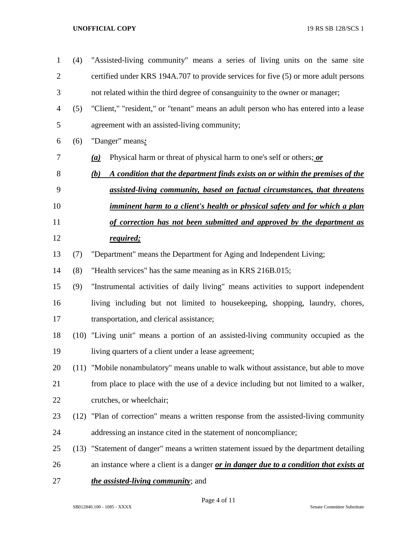certified under KRS 194A.707 to provide services for five (5) or more adult persons not related within the third degree of consanguinity to the owner or manager; (5) "Client," "resident," or "tenant" means an adult person who has entered into a lease agreement with an assisted-living community; (6) "Danger" means*: (a)* Physical harm or threat of physical harm to one's self or others; *or (b) A condition that the department finds exists on or within the premises of the assisted-living community, based on factual circumstances, that threatens imminent harm to a client's health or physical safety and for which a plan of correction has not been submitted and approved by the department as required;* (7) "Department" means the Department for Aging and Independent Living; (8) "Health services" has the same meaning as in KRS 216B.015; (9) "Instrumental activities of daily living" means activities to support independent living including but not limited to housekeeping, shopping, laundry, chores, transportation, and clerical assistance; (10) "Living unit" means a portion of an assisted-living community occupied as the living quarters of a client under a lease agreement; (11) "Mobile nonambulatory" means unable to walk without assistance, but able to move from place to place with the use of a device including but not limited to a walker, crutches, or wheelchair; (12) "Plan of correction" means a written response from the assisted-living community addressing an instance cited in the statement of noncompliance; (13) "Statement of danger" means a written statement issued by the department detailing an instance where a client is a danger *or in danger due to a condition that exists at the assisted-living community*; and

(4) "Assisted-living community" means a series of living units on the same site

Page 4 of 11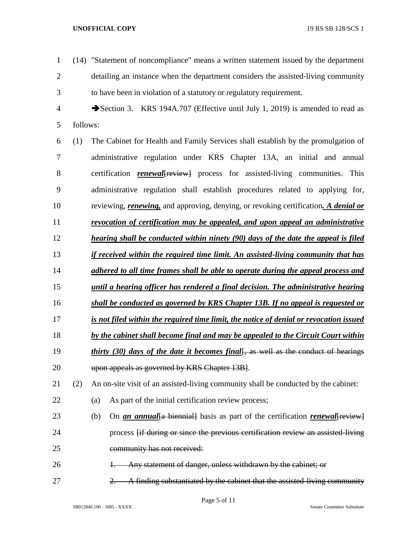(14) "Statement of noncompliance" means a written statement issued by the department detailing an instance when the department considers the assisted-living community to have been in violation of a statutory or regulatory requirement. Section 3. KRS 194A.707 (Effective until July 1, 2019) is amended to read as follows: (1) The Cabinet for Health and Family Services shall establish by the promulgation of administrative regulation under KRS Chapter 13A, an initial and annual 8 certification *renewal* [*review*] process for assisted-living communities. This administrative regulation shall establish procedures related to applying for, reviewing, *renewing,* and approving, denying, or revoking certification*. A denial or revocation of certification may be appealed, and upon appeal an administrative hearing shall be conducted within ninety (90) days of the date the appeal is filed if received within the required time limit. An assisted-living community that has adhered to all time frames shall be able to operate during the appeal process and until a hearing officer has rendered a final decision. The administrative hearing shall be conducted as governed by KRS Chapter 13B. If no appeal is requested or is not filed within the required time limit, the notice of denial or revocation issued by the cabinet shall become final and may be appealed to the Circuit Court within thirty (30) days of the date it becomes final*, as well as the conduct of hearings 20 upon appeals as governed by KRS Chapter 13B. (2) An on-site visit of an assisted-living community shall be conducted by the cabinet: (a) As part of the initial certification review process; 23 (b) On *an annual* {a biennial} basis as part of the certification *renewal* {{review}} process [if during or since the previous certification review an assisted-living community has not received: 26 1. Any statement of danger, unless withdrawn by the cabinet; or 27 2. A finding substantiated by the cabinet that the assisted-living community

Page 5 of 11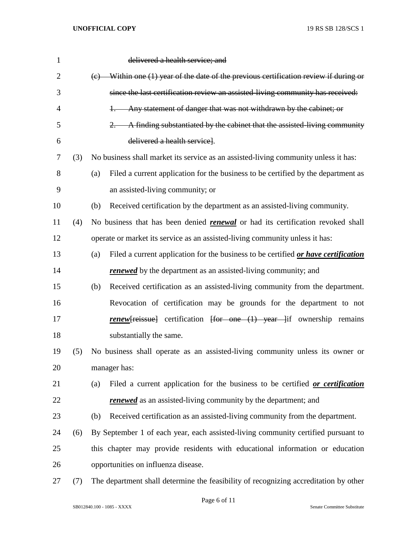| $\mathbf{1}$   |     | delivered a health service; and                                                                               |
|----------------|-----|---------------------------------------------------------------------------------------------------------------|
| $\overline{2}$ |     | $(e)$ Within one (1) year of the date of the previous certification review if during or                       |
| 3              |     | since the last certification review an assisted-living community has received:                                |
| 4              |     | Any statement of danger that was not withdrawn by the cabinet; or<br>$+ -$                                    |
| 5              |     | A finding substantiated by the cabinet that the assisted-living community<br>2.                               |
| 6              |     | delivered a health service.                                                                                   |
| 7              | (3) | No business shall market its service as an assisted-living community unless it has:                           |
| 8              |     | Filed a current application for the business to be certified by the department as<br>(a)                      |
| 9              |     | an assisted-living community; or                                                                              |
| 10             |     | Received certification by the department as an assisted-living community.<br>(b)                              |
| 11             | (4) | No business that has been denied <i>renewal</i> or had its certification revoked shall                        |
| 12             |     | operate or market its service as an assisted-living community unless it has:                                  |
| 13             |     | Filed a current application for the business to be certified or have certification<br>(a)                     |
| 14             |     | <b>renewed</b> by the department as an assisted-living community; and                                         |
| 15             |     | Received certification as an assisted-living community from the department.<br>(b)                            |
| 16             |     | Revocation of certification may be grounds for the department to not                                          |
| 17             |     | <b>renew</b> [reissue] certification $\frac{1}{r}$ for one $\frac{1}{r}$ year $\frac{1}{r}$ ownership remains |
| 18             |     | substantially the same.                                                                                       |
| 19             | (5) | No business shall operate as an assisted-living community unless its owner or                                 |
| 20             |     | manager has:                                                                                                  |
| 21             |     | Filed a current application for the business to be certified or certification<br>(a)                          |
| 22             |     | <b>renewed</b> as an assisted-living community by the department; and                                         |
| 23             |     | Received certification as an assisted-living community from the department.<br>(b)                            |
| 24             | (6) | By September 1 of each year, each assisted-living community certified pursuant to                             |
| 25             |     | this chapter may provide residents with educational information or education                                  |
| 26             |     | opportunities on influenza disease.                                                                           |
| 27             | (7) | The department shall determine the feasibility of recognizing accreditation by other                          |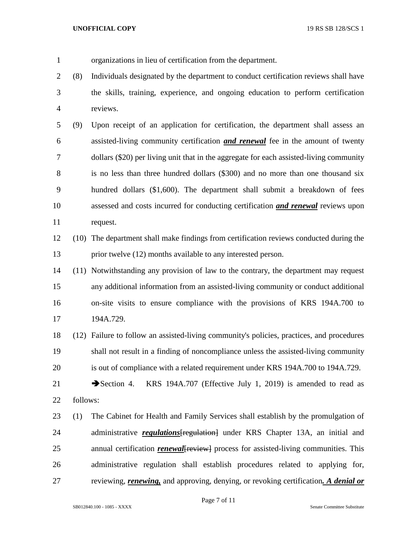- organizations in lieu of certification from the department.
- (8) Individuals designated by the department to conduct certification reviews shall have the skills, training, experience, and ongoing education to perform certification reviews.
- (9) Upon receipt of an application for certification, the department shall assess an assisted-living community certification *and renewal* fee in the amount of twenty dollars (\$20) per living unit that in the aggregate for each assisted-living community is no less than three hundred dollars (\$300) and no more than one thousand six hundred dollars (\$1,600). The department shall submit a breakdown of fees assessed and costs incurred for conducting certification *and renewal* reviews upon request.
- (10) The department shall make findings from certification reviews conducted during the prior twelve (12) months available to any interested person.
- (11) Notwithstanding any provision of law to the contrary, the department may request any additional information from an assisted-living community or conduct additional on-site visits to ensure compliance with the provisions of KRS 194A.700 to 194A.729.
- (12) Failure to follow an assisted-living community's policies, practices, and procedures shall not result in a finding of noncompliance unless the assisted-living community is out of compliance with a related requirement under KRS 194A.700 to 194A.729.
- 21 Section 4. KRS 194A.707 (Effective July 1, 2019) is amended to read as follows:
- (1) The Cabinet for Health and Family Services shall establish by the promulgation of 24 administrative *regulations* [regulation] under KRS Chapter 13A, an initial and 25 annual certification *renewal* {<del>review}</del> process for assisted-living communities. This administrative regulation shall establish procedures related to applying for, reviewing, *renewing,* and approving, denying, or revoking certification*. A denial or*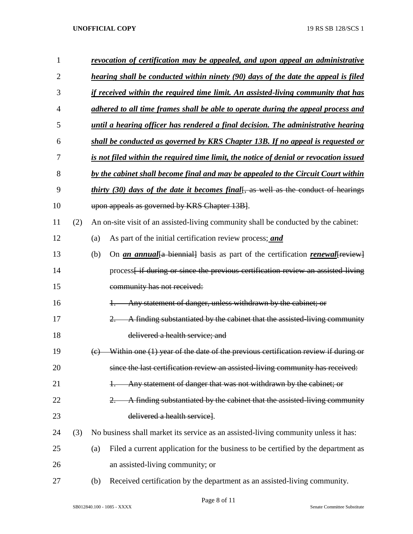| 1              |     | revocation of certification may be appealed, and upon appeal an administrative                              |
|----------------|-----|-------------------------------------------------------------------------------------------------------------|
| 2              |     | hearing shall be conducted within ninety (90) days of the date the appeal is filed                          |
| 3              |     | if received within the required time limit. An assisted-living community that has                           |
| $\overline{4}$ |     | adhered to all time frames shall be able to operate during the appeal process and                           |
| 5              |     | until a hearing officer has rendered a final decision. The administrative hearing                           |
| 6              |     | shall be conducted as governed by KRS Chapter 13B. If no appeal is requested or                             |
| 7              |     | is not filed within the required time limit, the notice of denial or revocation issued                      |
| 8              |     | by the cabinet shall become final and may be appealed to the Circuit Court within                           |
| 9              |     | <i>thirty</i> (30) days of the date it becomes final[, as well as the conduct of hearings                   |
| 10             |     | upon appeals as governed by KRS Chapter 13B.                                                                |
| 11             | (2) | An on-site visit of an assisted-living community shall be conducted by the cabinet:                         |
| 12             |     | As part of the initial certification review process; and<br>(a)                                             |
| 13             |     | (b)<br>On <i>an annual</i> {a biennial} basis as part of the certification <i>renewal</i> [ <i>review</i> ] |
| 14             |     | process <sub>[if during or since the previous certification review an assisted living</sub>                 |
| 15             |     | community has not received:                                                                                 |
| 16             |     | Any statement of danger, unless withdrawn by the cabinet; or<br>$+$                                         |
| 17             |     | A finding substantiated by the cabinet that the assisted-living community<br>$2 -$                          |
| 18             |     | delivered a health service; and                                                                             |
| 19             |     | Within one (1) year of the date of the previous certification review if during or<br>$\Theta$               |
| 20             |     | since the last certification review an assisted-living community has received:                              |
| 21             |     | Any statement of danger that was not withdrawn by the cabinet; or<br>$+$                                    |
| 22             |     | A finding substantiated by the cabinet that the assisted-living community<br>2.                             |
| 23             |     | delivered a health service.                                                                                 |
| 24             | (3) | No business shall market its service as an assisted-living community unless it has:                         |
| 25             |     | Filed a current application for the business to be certified by the department as<br>(a)                    |
| 26             |     | an assisted-living community; or                                                                            |
| 27             |     | Received certification by the department as an assisted-living community.<br>(b)                            |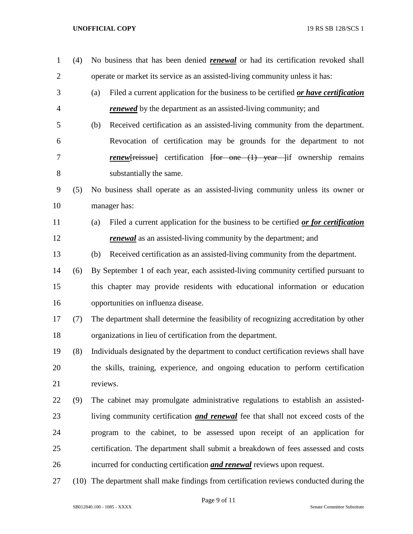| $\mathbf{1}$   | (4) | No business that has been denied <b>renewal</b> or had its certification revoked shall    |
|----------------|-----|-------------------------------------------------------------------------------------------|
| $\overline{2}$ |     | operate or market its service as an assisted-living community unless it has:              |
| 3              |     | Filed a current application for the business to be certified or have certification<br>(a) |
| $\overline{4}$ |     | <b>renewed</b> by the department as an assisted-living community; and                     |
| 5              |     | Received certification as an assisted-living community from the department.<br>(b)        |
| 6              |     | Revocation of certification may be grounds for the department to not                      |
| 7              |     | <b>renew</b> [reissue] certification [for one (1) year ]if ownership remains              |
| 8              |     | substantially the same.                                                                   |
| 9              | (5) | No business shall operate as an assisted-living community unless its owner or             |
| 10             |     | manager has:                                                                              |
| 11             |     | Filed a current application for the business to be certified or for certification<br>(a)  |
| 12             |     | <i>renewal</i> as an assisted-living community by the department; and                     |
| 13             |     | Received certification as an assisted-living community from the department.<br>(b)        |
| 14             | (6) | By September 1 of each year, each assisted-living community certified pursuant to         |
| 15             |     | this chapter may provide residents with educational information or education              |
| 16             |     | opportunities on influenza disease.                                                       |
| 17             | (7) | The department shall determine the feasibility of recognizing accreditation by other      |
| 18             |     | organizations in lieu of certification from the department.                               |
| 19             | (8) | Individuals designated by the department to conduct certification reviews shall have      |
| 20             |     | the skills, training, experience, and ongoing education to perform certification          |
| 21             |     | reviews.                                                                                  |
| 22             | (9) | The cabinet may promulgate administrative regulations to establish an assisted-           |
| 23             |     | living community certification <i>and renewal</i> fee that shall not exceed costs of the  |
| 24             |     | program to the cabinet, to be assessed upon receipt of an application for                 |
| 25             |     | certification. The department shall submit a breakdown of fees assessed and costs         |
| 26             |     | incurred for conducting certification <i>and renewal</i> reviews upon request.            |
| 27             |     | (10) The department shall make findings from certification reviews conducted during the   |

Page 9 of 11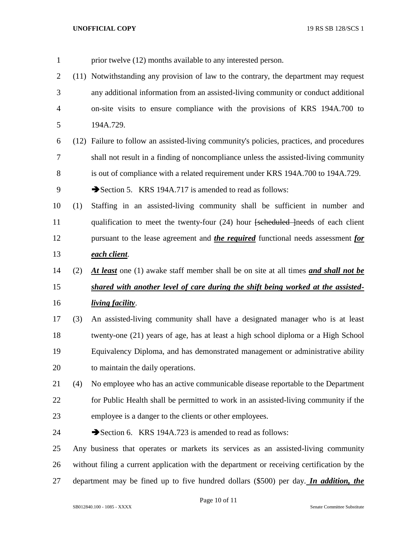prior twelve (12) months available to any interested person. (11) Notwithstanding any provision of law to the contrary, the department may request any additional information from an assisted-living community or conduct additional on-site visits to ensure compliance with the provisions of KRS 194A.700 to 194A.729. (12) Failure to follow an assisted-living community's policies, practices, and procedures shall not result in a finding of noncompliance unless the assisted-living community is out of compliance with a related requirement under KRS 194A.700 to 194A.729. 9 Section 5. KRS 194A.717 is amended to read as follows: (1) Staffing in an assisted-living community shall be sufficient in number and 11 qualification to meet the twenty-four (24) hour [scheduled ]needs of each client pursuant to the lease agreement and *the required* functional needs assessment *for each client*. (2) *At least* one (1) awake staff member shall be on site at all times *and shall not be shared with another level of care during the shift being worked at the assisted- living facility*. (3) An assisted-living community shall have a designated manager who is at least twenty-one (21) years of age, has at least a high school diploma or a High School Equivalency Diploma, and has demonstrated management or administrative ability 20 to maintain the daily operations. (4) No employee who has an active communicable disease reportable to the Department for Public Health shall be permitted to work in an assisted-living community if the employee is a danger to the clients or other employees. 24 Section 6. KRS 194A.723 is amended to read as follows: Any business that operates or markets its services as an assisted-living community without filing a current application with the department or receiving certification by the

department may be fined up to five hundred dollars (\$500) per day. *In addition, the* 

Page 10 of 11